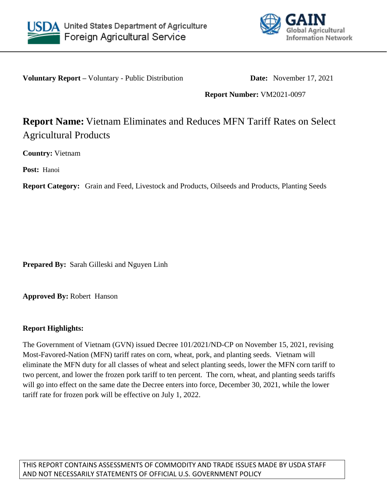



**Voluntary Report** – Voluntary - Public Distribution **Date:** November 17, 2021

**Report Number:** VM2021-0097

# **Report Name:** Vietnam Eliminates and Reduces MFN Tariff Rates on Select Agricultural Products

**Country:** Vietnam

**Post:** Hanoi

**Report Category:** Grain and Feed, Livestock and Products, Oilseeds and Products, Planting Seeds

**Prepared By:** Sarah Gilleski and Nguyen Linh

**Approved By:** Robert Hanson

#### **Report Highlights:**

The Government of Vietnam (GVN) issued Decree 101/2021/ND-CP on November 15, 2021, revising Most-Favored-Nation (MFN) tariff rates on corn, wheat, pork, and planting seeds. Vietnam will eliminate the MFN duty for all classes of wheat and select planting seeds, lower the MFN corn tariff to two percent, and lower the frozen pork tariff to ten percent. The corn, wheat, and planting seeds tariffs will go into effect on the same date the Decree enters into force, December 30, 2021, while the lower tariff rate for frozen pork will be effective on July 1, 2022.

THIS REPORT CONTAINS ASSESSMENTS OF COMMODITY AND TRADE ISSUES MADE BY USDA STAFF AND NOT NECESSARILY STATEMENTS OF OFFICIAL U.S. GOVERNMENT POLICY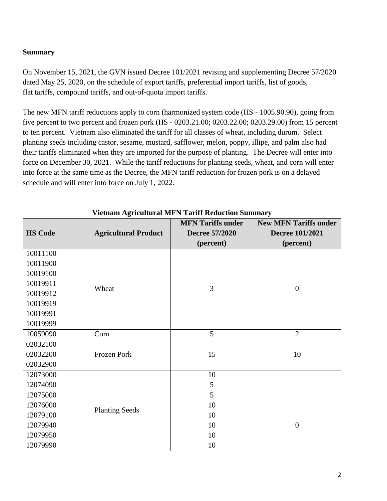## **Summary**

On November 15, 2021, the GVN issued Decree 101/2021 revising and supplementing Decree 57/2020 dated May 25, 2020, on the schedule of export tariffs, preferential import tariffs, list of goods, flat tariffs, compound tariffs, and out-of-quota import tariffs.

The new MFN tariff reductions apply to corn (harmonized system code (HS - 1005.90.90), going from five percent to two percent and frozen pork (HS - 0203.21.00; 0203.22.00; 0203.29.00) from 15 percent to ten percent. Vietnam also eliminated the tariff for all classes of wheat, including durum. Select planting seeds including castor, sesame, mustard, safflower, melon, poppy, illipe, and palm also had their tariffs eliminated when they are imported for the purpose of planting. The Decree will enter into force on December 30, 2021. While the tariff reductions for planting seeds, wheat, and corn will enter into force at the same time as the Decree, the MFN tariff reduction for frozen pork is on a delayed schedule and will enter into force on July 1, 2022.

|                | $1 - 1 - 1$                 | <b>MFN Tariffs under</b> | <b>New MFN Tariffs under</b> |
|----------------|-----------------------------|--------------------------|------------------------------|
| <b>HS Code</b> | <b>Agricultural Product</b> | <b>Decree 57/2020</b>    | Decree 101/2021              |
|                |                             | (percent)                | (percent)                    |
| 10011100       |                             |                          |                              |
| 10011900       |                             |                          |                              |
| 10019100       |                             |                          |                              |
| 10019911       | Wheat                       | 3                        | $\boldsymbol{0}$             |
| 10019912       |                             |                          |                              |
| 10019919       |                             |                          |                              |
| 10019991       |                             |                          |                              |
| 10019999       |                             |                          |                              |
| 10059090       | Corn                        | 5                        | $\overline{2}$               |
| 02032100       |                             |                          |                              |
| 02032200       | Frozen Pork                 | 15                       | 10                           |
| 02032900       |                             |                          |                              |
| 12073000       |                             | 10                       |                              |
| 12074090       | <b>Planting Seeds</b>       | 5                        |                              |
| 12075000       |                             | 5                        |                              |
| 12076000       |                             | 10                       |                              |
| 12079100       |                             | 10                       |                              |
| 12079940       |                             | 10                       | $\overline{0}$               |
| 12079950       |                             | 10                       |                              |
| 12079990       |                             | 10                       |                              |

#### **Vietnam Agricultural MFN Tariff Reduction Summary**